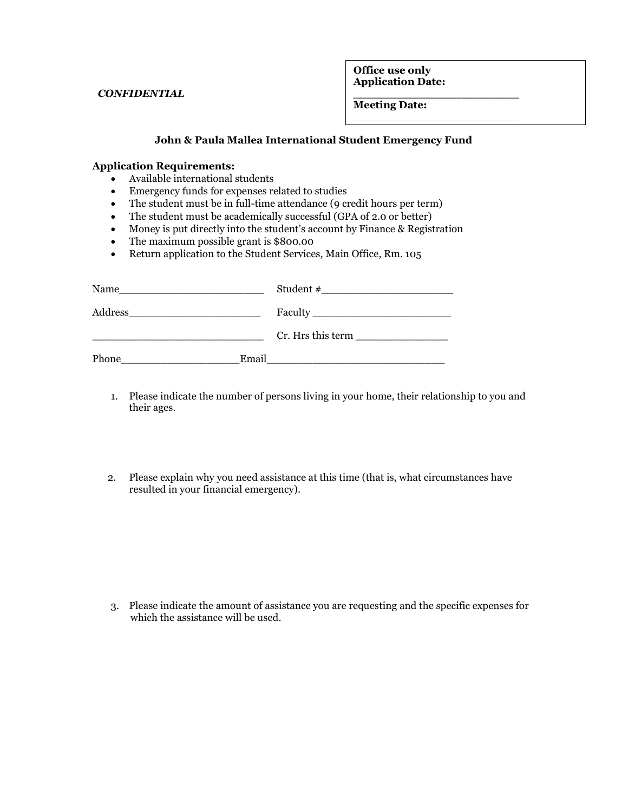*CONFIDENTIAL*

**Office use only Application Date:** 

**\_\_\_\_\_\_\_\_\_\_\_\_\_\_\_\_\_\_\_\_\_\_\_ Meeting Date Date:** 

## **John & Paula Mallea International Student Emergency Fund \_\_\_\_\_\_\_\_\_\_ Decision and the contract of the contract of the contract of the contract of the contract of the contract of th**

## **Application Requirements:**

- Available international students
- Emergency funds for expenses related to studies
- The student must be in full-time attendance (9 credit hours per term)
- The student must be academically successful (GPA of 2.0 or better)
- Money is put directly into the student's account by Finance & Registration
- The maximum possible grant is \$800.00
- Return application to the Student Services, Main Office, Rm. 105

| Name    |       | Student #                         |
|---------|-------|-----------------------------------|
| Address |       |                                   |
|         |       | $Cr. Hrs$ this term $\frac{1}{r}$ |
| Phone   | Email |                                   |

- 1. Please indicate the number of persons living in your home, their relationship to you and their ages.
- 2. Please explain why you need assistance at this time (that is, what circumstances have resulted in your financial emergency).

3. Please indicate the amount of assistance you are requesting and the specific expenses for which the assistance will be used.